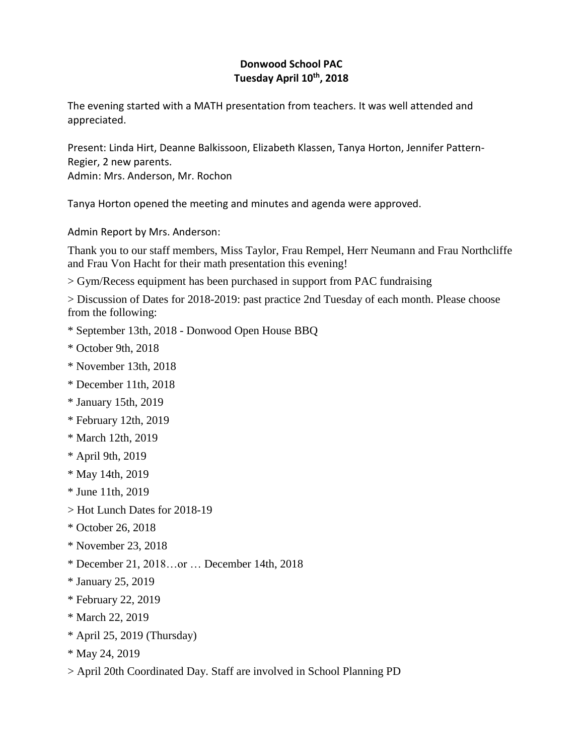# **Donwood School PAC Tuesday April 10th , 2018**

The evening started with a MATH presentation from teachers. It was well attended and appreciated.

Present: Linda Hirt, Deanne Balkissoon, Elizabeth Klassen, Tanya Horton, Jennifer Pattern-Regier, 2 new parents. Admin: Mrs. Anderson, Mr. Rochon

Tanya Horton opened the meeting and minutes and agenda were approved.

Admin Report by Mrs. Anderson:

Thank you to our staff members, Miss Taylor, Frau Rempel, Herr Neumann and Frau Northcliffe and Frau Von Hacht for their math presentation this evening!

> Gym/Recess equipment has been purchased in support from PAC fundraising

> Discussion of Dates for 2018-2019: past practice 2nd Tuesday of each month. Please choose from the following:

- \* September 13th, 2018 Donwood Open House BBQ
- \* October 9th, 2018
- \* November 13th, 2018
- \* December 11th, 2018
- \* January 15th, 2019
- \* February 12th, 2019
- \* March 12th, 2019
- \* April 9th, 2019
- \* May 14th, 2019
- \* June 11th, 2019
- > Hot Lunch Dates for 2018-19
- \* October 26, 2018
- \* November 23, 2018
- \* December 21, 2018…or … December 14th, 2018
- \* January 25, 2019
- \* February 22, 2019
- \* March 22, 2019
- \* April 25, 2019 (Thursday)
- \* May 24, 2019
- > April 20th Coordinated Day. Staff are involved in School Planning PD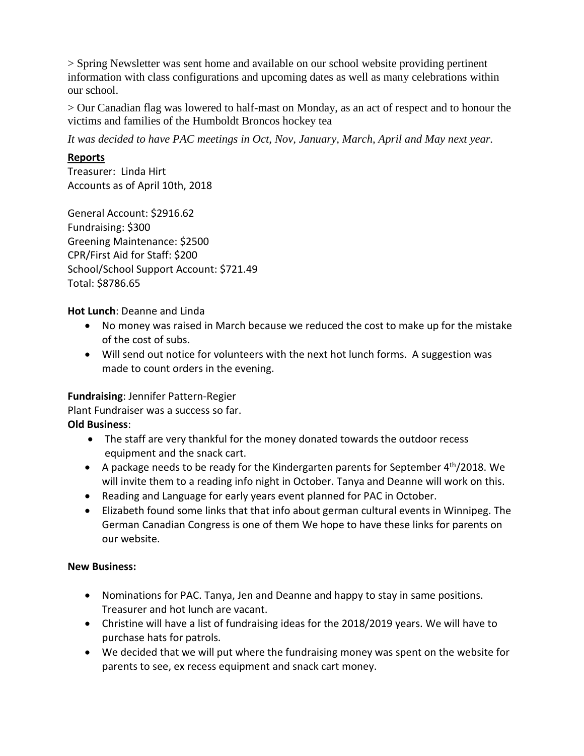> Spring Newsletter was sent home and available on our school website providing pertinent information with class configurations and upcoming dates as well as many celebrations within our school.

> Our Canadian flag was lowered to half-mast on Monday, as an act of respect and to honour the victims and families of the Humboldt Broncos hockey tea

*It was decided to have PAC meetings in Oct, Nov, January, March, April and May next year.*

### **Reports**

Treasurer: Linda Hirt Accounts as of April 10th, 2018

General Account: \$2916.62 Fundraising: \$300 Greening Maintenance: \$2500 CPR/First Aid for Staff: \$200 School/School Support Account: \$721.49 Total: \$8786.65

**Hot Lunch**: Deanne and Linda

- No money was raised in March because we reduced the cost to make up for the mistake of the cost of subs.
- Will send out notice for volunteers with the next hot lunch forms. A suggestion was made to count orders in the evening.

## **Fundraising**: Jennifer Pattern-Regier

Plant Fundraiser was a success so far.

### **Old Business**:

- The staff are very thankful for the money donated towards the outdoor recess equipment and the snack cart.
- A package needs to be ready for the Kindergarten parents for September 4<sup>th</sup>/2018. We will invite them to a reading info night in October. Tanya and Deanne will work on this.
- Reading and Language for early years event planned for PAC in October.
- Elizabeth found some links that that info about german cultural events in Winnipeg. The German Canadian Congress is one of them We hope to have these links for parents on our website.

### **New Business:**

- Nominations for PAC. Tanya, Jen and Deanne and happy to stay in same positions. Treasurer and hot lunch are vacant.
- Christine will have a list of fundraising ideas for the 2018/2019 years. We will have to purchase hats for patrols.
- We decided that we will put where the fundraising money was spent on the website for parents to see, ex recess equipment and snack cart money.